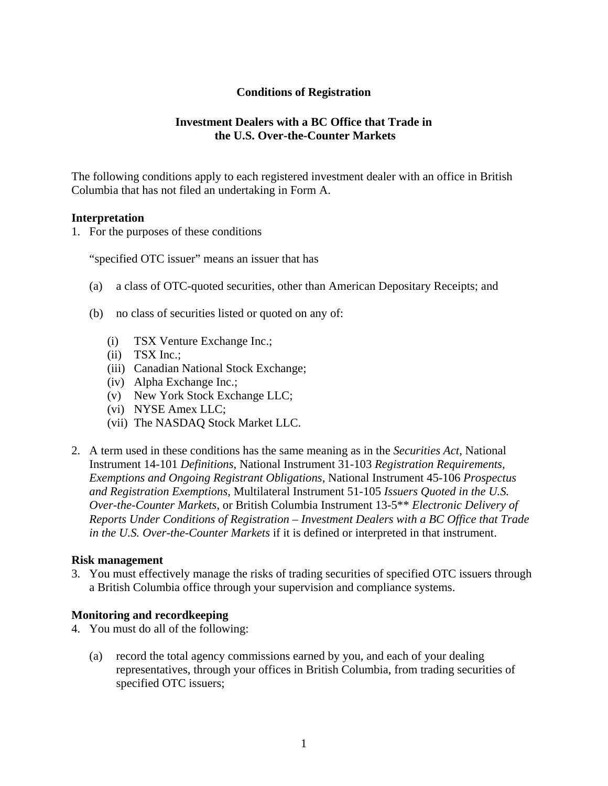# **Conditions of Registration**

# **Investment Dealers with a BC Office that Trade in the U.S. Over-the-Counter Markets**

The following conditions apply to each registered investment dealer with an office in British Columbia that has not filed an undertaking in Form A.

### **Interpretation**

1. For the purposes of these conditions

"specified OTC issuer" means an issuer that has

- (a) a class of OTC-quoted securities, other than American Depositary Receipts; and
- (b) no class of securities listed or quoted on any of:
	- (i) TSX Venture Exchange Inc.;
	- (ii) TSX Inc.;
	- (iii) Canadian National Stock Exchange;
	- (iv) Alpha Exchange Inc.;
	- (v) New York Stock Exchange LLC;
	- (vi) NYSE Amex LLC;
	- (vii) The NASDAQ Stock Market LLC.
- 2. A term used in these conditions has the same meaning as in the *Securities Act*, National Instrument 14-101 *Definitions*, National Instrument 31-103 *Registration Requirements, Exemptions and Ongoing Registrant Obligations*, National Instrument 45-106 *Prospectus and Registration Exemptions*, Multilateral Instrument 51-105 *Issuers Quoted in the U.S. Over-the-Counter Markets*, or British Columbia Instrument 13-5\*\* *Electronic Delivery of Reports Under Conditions of Registration – Investment Dealers with a BC Office that Trade in the U.S. Over-the-Counter Markets* if it is defined or interpreted in that instrument.

#### **Risk management**

3. You must effectively manage the risks of trading securities of specified OTC issuers through a British Columbia office through your supervision and compliance systems.

### **Monitoring and recordkeeping**

- 4. You must do all of the following:
	- (a) record the total agency commissions earned by you, and each of your dealing representatives, through your offices in British Columbia, from trading securities of specified OTC issuers;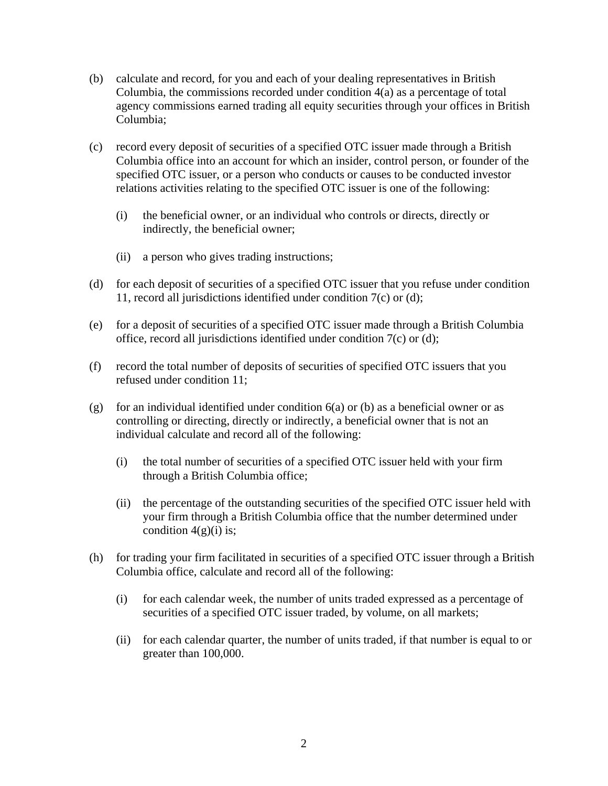- (b) calculate and record, for you and each of your dealing representatives in British Columbia, the commissions recorded under condition 4(a) as a percentage of total agency commissions earned trading all equity securities through your offices in British Columbia;
- (c) record every deposit of securities of a specified OTC issuer made through a British Columbia office into an account for which an insider, control person, or founder of the specified OTC issuer, or a person who conducts or causes to be conducted investor relations activities relating to the specified OTC issuer is one of the following:
	- (i) the beneficial owner, or an individual who controls or directs, directly or indirectly, the beneficial owner;
	- (ii) a person who gives trading instructions;
- (d) for each deposit of securities of a specified OTC issuer that you refuse under condition 11, record all jurisdictions identified under condition 7(c) or (d);
- (e) for a deposit of securities of a specified OTC issuer made through a British Columbia office, record all jurisdictions identified under condition 7(c) or (d);
- (f) record the total number of deposits of securities of specified OTC issuers that you refused under condition 11;
- (g) for an individual identified under condition  $6(a)$  or (b) as a beneficial owner or as controlling or directing, directly or indirectly, a beneficial owner that is not an individual calculate and record all of the following:
	- (i) the total number of securities of a specified OTC issuer held with your firm through a British Columbia office;
	- (ii) the percentage of the outstanding securities of the specified OTC issuer held with your firm through a British Columbia office that the number determined under condition  $4(g)(i)$  is;
- (h) for trading your firm facilitated in securities of a specified OTC issuer through a British Columbia office, calculate and record all of the following:
	- (i) for each calendar week, the number of units traded expressed as a percentage of securities of a specified OTC issuer traded, by volume, on all markets;
	- (ii) for each calendar quarter, the number of units traded, if that number is equal to or greater than 100,000.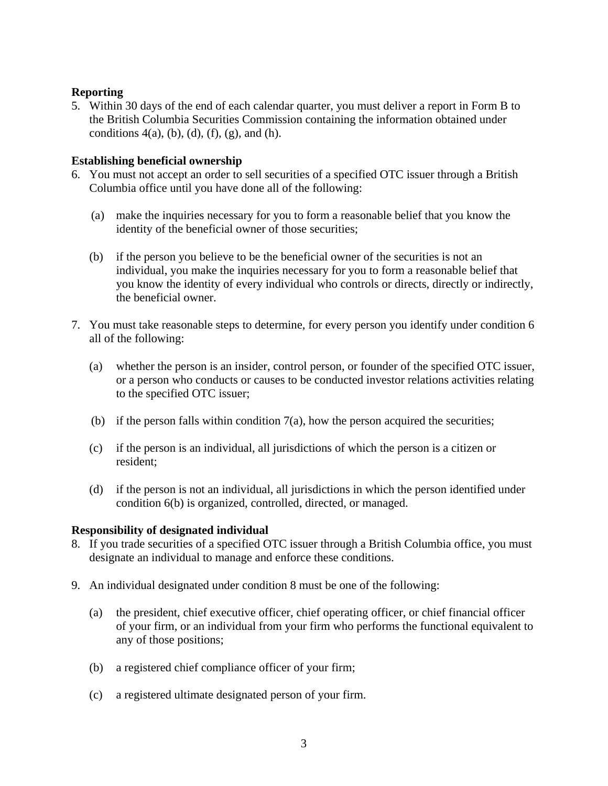# **Reporting**

5. Within 30 days of the end of each calendar quarter, you must deliver a report in Form B to the British Columbia Securities Commission containing the information obtained under conditions  $4(a)$ , (b), (d), (f), (g), and (h).

# **Establishing beneficial ownership**

- 6. You must not accept an order to sell securities of a specified OTC issuer through a British Columbia office until you have done all of the following:
	- (a) make the inquiries necessary for you to form a reasonable belief that you know the identity of the beneficial owner of those securities;
	- (b) if the person you believe to be the beneficial owner of the securities is not an individual, you make the inquiries necessary for you to form a reasonable belief that you know the identity of every individual who controls or directs, directly or indirectly, the beneficial owner.
- 7. You must take reasonable steps to determine, for every person you identify under condition 6 all of the following:
	- (a) whether the person is an insider, control person, or founder of the specified OTC issuer, or a person who conducts or causes to be conducted investor relations activities relating to the specified OTC issuer;
	- (b) if the person falls within condition  $7(a)$ , how the person acquired the securities;
	- (c) if the person is an individual, all jurisdictions of which the person is a citizen or resident;
	- (d) if the person is not an individual, all jurisdictions in which the person identified under condition 6(b) is organized, controlled, directed, or managed.

### **Responsibility of designated individual**

- 8. If you trade securities of a specified OTC issuer through a British Columbia office, you must designate an individual to manage and enforce these conditions.
- 9. An individual designated under condition 8 must be one of the following:
	- (a) the president, chief executive officer, chief operating officer, or chief financial officer of your firm, or an individual from your firm who performs the functional equivalent to any of those positions;
	- (b) a registered chief compliance officer of your firm;
	- (c) a registered ultimate designated person of your firm.